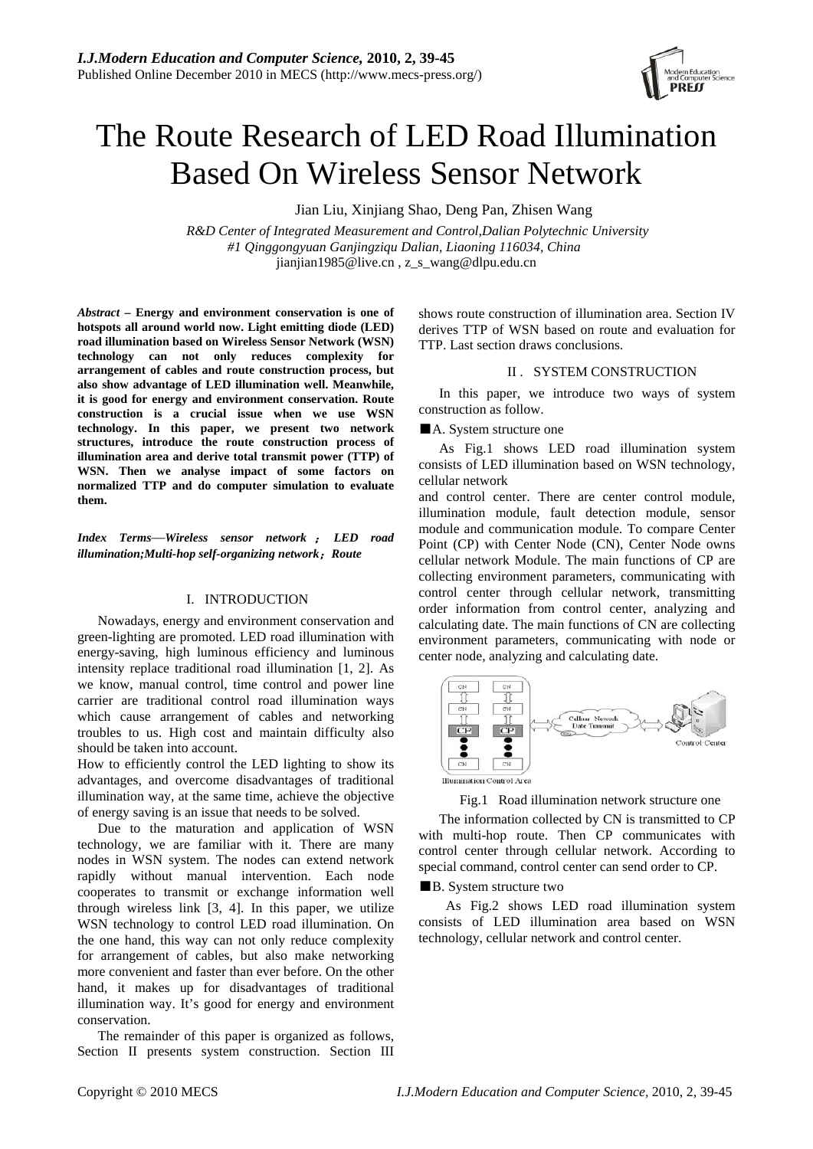

# The Route Research of LED Road Illumination Based On Wireless Sensor Network

Jian Liu, Xinjiang Shao, Deng Pan, Zhisen Wang

*R&D Center of Integrated Measurement and Control,Dalian Polytechnic University #1 Qinggongyuan Ganjingziqu Dalian, Liaoning 116034, China*  jianjian1985@live.cn , z\_s\_wang@dlpu.edu.cn

*Abstract* **– Energy and environment conservation is one of hotspots all around world now. Light emitting diode (LED) road illumination based on Wireless Sensor Network (WSN) technology can not only reduces complexity for arrangement of cables and route construction process, but also show advantage of LED illumination well. Meanwhile, it is good for energy and environment conservation. Route construction is a crucial issue when we use WSN technology. In this paper, we present two network structures, introduce the route construction process of illumination area and derive total transmit power (TTP) of WSN. Then we analyse impact of some factors on normalized TTP and do computer simulation to evaluate them.** 

*Index Terms*—*Wireless sensor network* ; *LED road illumination;Multi-hop self-organizing network*;*Route* 

## I. INTRODUCTION

Nowadays, energy and environment conservation and green-lighting are promoted. LED road illumination with energy-saving, high luminous efficiency and luminous intensity replace traditional road illumination [1, 2]. As we know, manual control, time control and power line carrier are traditional control road illumination ways which cause arrangement of cables and networking troubles to us. High cost and maintain difficulty also should be taken into account.

How to efficiently control the LED lighting to show its advantages, and overcome disadvantages of traditional illumination way, at the same time, achieve the objective of energy saving is an issue that needs to be solved.

Due to the maturation and application of WSN technology, we are familiar with it. There are many nodes in WSN system. The nodes can extend network rapidly without manual intervention. Each node cooperates to transmit or exchange information well through wireless link [3, 4]. In this paper, we utilize WSN technology to control LED road illumination. On the one hand, this way can not only reduce complexity for arrangement of cables, but also make networking more convenient and faster than ever before. On the other hand, it makes up for disadvantages of traditional illumination way. It's good for energy and environment conservation.

The remainder of this paper is organized as follows, Section II presents system construction. Section III shows route construction of illumination area. Section IV derives TTP of WSN based on route and evaluation for TTP. Last section draws conclusions.

## II . SYSTEM CONSTRUCTION

In this paper, we introduce two ways of system construction as follow.

■A. System structure one

As Fig.1 shows LED road illumination system consists of LED illumination based on WSN technology, cellular network

and control center. There are center control module, illumination module, fault detection module, sensor module and communication module. To compare Center Point (CP) with Center Node (CN), Center Node owns cellular network Module. The main functions of CP are collecting environment parameters, communicating with control center through cellular network, transmitting order information from control center, analyzing and calculating date. The main functions of CN are collecting environment parameters, communicating with node or center node, analyzing and calculating date.



Fig.1 Road illumination network structure one

The information collected by CN is transmitted to CP with multi-hop route. Then CP communicates with control center through cellular network. According to special command, control center can send order to CP.

■B. System structure two

As Fig.2 shows LED road illumination system consists of LED illumination area based on WSN technology, cellular network and control center.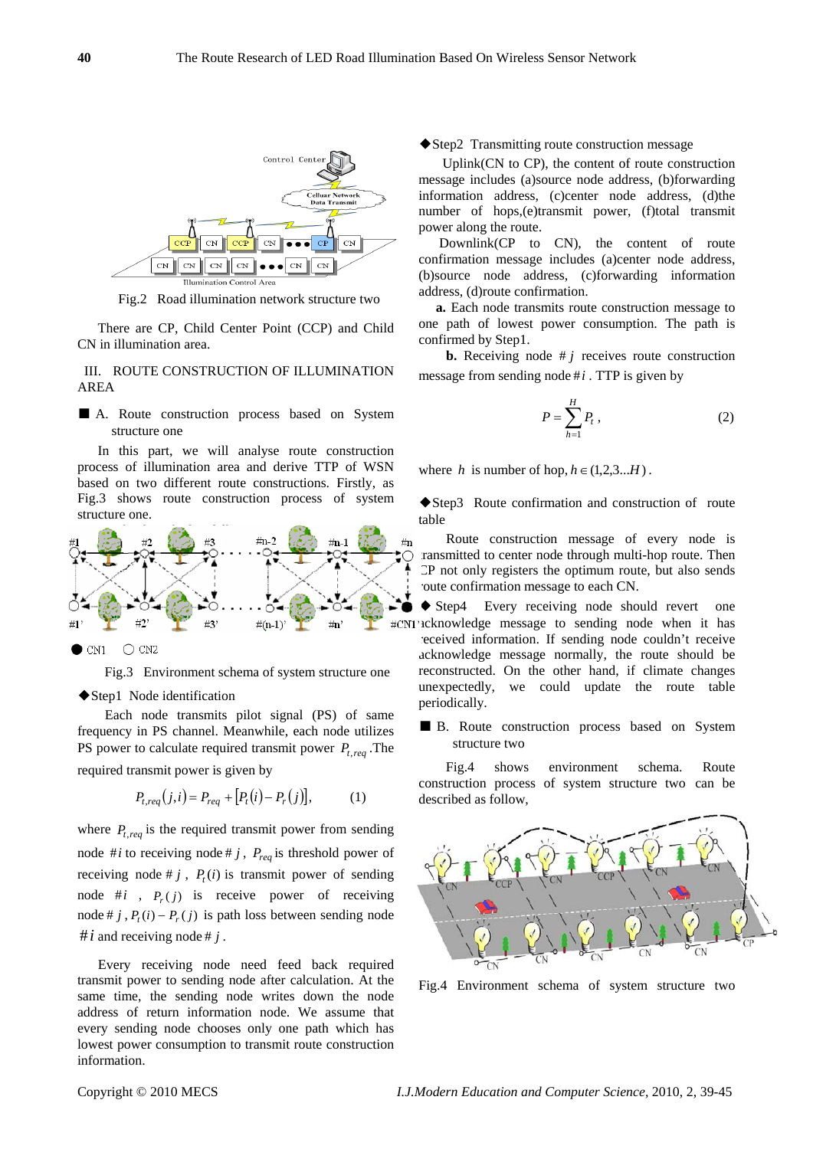

Fig.2 Road illumination network structure two

There are CP, Child Center Point (CCP) and Child CN in illumination area.

III. ROUTE CONSTRUCTION OF ILLUMINATION AREA

■ A. Route construction process based on System structure one

In this part, we will analyse route construction process of illumination area and derive TTP of WSN based on two different route constructions. Firstly, as Fig.3 shows route construction process of system structure one.



Fig.3 Environment schema of system structure one

#### ◆Step1 Node identification

 Each node transmits pilot signal (PS) of same frequency in PS channel. Meanwhile, each node utilizes PS power to calculate required transmit power  $P_{t,req}$ . The required transmit power is given by

$$
P_{t,req}(j,i) = P_{req} + [P_t(i) - P_r(j)],
$$
 (1)

where  $P_{t,req}$  is the required transmit power from sending node #*i* to receiving node # *j* ,  $P_{\text{req}}$  is threshold power of receiving node #  $j$ ,  $P<sub>i</sub>(i)$  is transmit power of sending node  $\#i$ ,  $P(x)$  is receive power of receiving node # *j* ,  $P_t(i) - P_r(j)$  is path loss between sending node  $\#i$  and receiving node  $\#i$ .

 Every receiving node need feed back required transmit power to sending node after calculation. At the same time, the sending node writes down the node address of return information node. We assume that every sending node chooses only one path which has lowest power consumption to transmit route construction information.

◆Step2 Transmitting route construction message

Uplink(CN to CP), the content of route construction message includes (a)source node address, (b)forwarding information address, (c)center node address, (d)the number of hops,(e)transmit power, (f)total transmit power along the route.

 Downlink(CP to CN), the content of route confirmation message includes (a)center node address, (b)source node address, (c)forwarding information address, (d)route confirmation.

 **a.** Each node transmits route construction message to one path of lowest power consumption. The path is confirmed by Step1.

**b.** Receiving node  $\# j$  receives route construction message from sending node  $\#i$ . TTP is given by

$$
P = \sum_{h=1}^{H} P_t \,, \tag{2}
$$

where *h* is number of hop,  $h \in (1,2,3...H)$ .

◆Step3 Route confirmation and construction of route table

Route construction message of every node is ransmitted to center node through multi-hop route. Then CP not only registers the optimum route, but also sends route confirmation message to each CN.

◆ Step4 Every receiving node should revert one N1's ucknowledge message to sending node when it has received information. If sending node couldn't receive acknowledge message normally, the route should be reconstructed. On the other hand, if climate changes unexpectedly, we could update the route table periodically.

## ■ B. Route construction process based on System structure two

Fig.4 shows environment schema. Route construction process of system structure two can be described as follow,



Fig.4 Environment schema of system structure two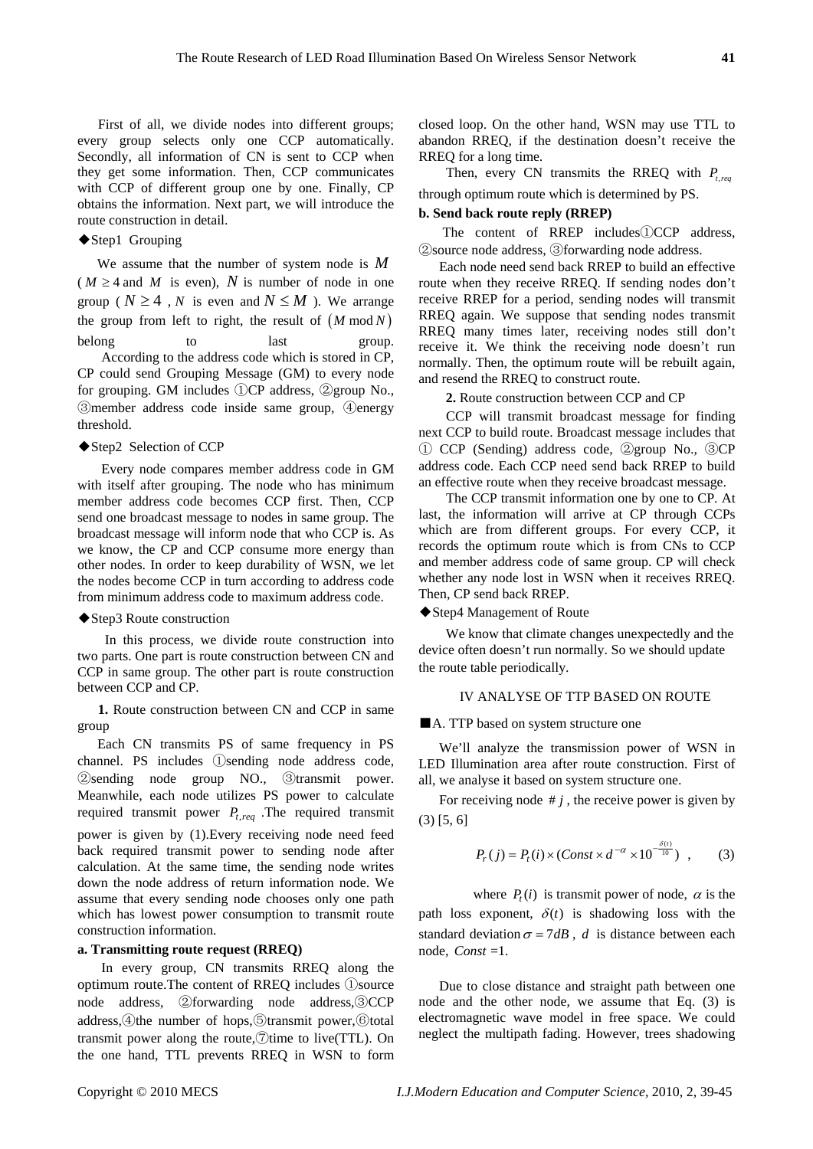First of all, we divide nodes into different groups; every group selects only one CCP automatically. Secondly, all information of CN is sent to CCP when they get some information. Then, CCP communicates with CCP of different group one by one. Finally, CP obtains the information. Next part, we will introduce the route construction in detail.

### ◆Step1 Grouping

We assume that the number of system node is *M*  $(M \geq 4$  and M is even), N is number of node in one group ( $N \geq 4$ , *N* is even and  $N \leq M$ ). We arrange the group from left to right, the result of  $(M \mod N)$ belong to last group. According to the address code which is stored in CP, CP could send Grouping Message (GM) to every node for grouping. GM includes ①CP address, ②group No., ③member address code inside same group, ④energy threshold.

### ◆Step2 Selection of CCP

 Every node compares member address code in GM with itself after grouping. The node who has minimum member address code becomes CCP first. Then, CCP send one broadcast message to nodes in same group. The broadcast message will inform node that who CCP is. As we know, the CP and CCP consume more energy than other nodes. In order to keep durability of WSN, we let the nodes become CCP in turn according to address code from minimum address code to maximum address code.

#### ◆Step3 Route construction

 In this process, we divide route construction into two parts. One part is route construction between CN and CCP in same group. The other part is route construction between CCP and CP.

**1.** Route construction between CN and CCP in same group

Each CN transmits PS of same frequency in PS channel. PS includes ①sending node address code, ②sending node group NO., ③transmit power. Meanwhile, each node utilizes PS power to calculate required transmit power  $P_{t,req}$ . The required transmit power is given by (1).Every receiving node need feed back required transmit power to sending node after calculation. At the same time, the sending node writes down the node address of return information node. We assume that every sending node chooses only one path which has lowest power consumption to transmit route construction information.

## **a. Transmitting route request (RREQ)**

In every group, CN transmits RREQ along the optimum route.The content of RREQ includes ①source node address, ②forwarding node address,③CCP address,④the number of hops,⑤transmit power,⑥total transmit power along the route, $\circ$ time to live(TTL). On the one hand, TTL prevents RREQ in WSN to form closed loop. On the other hand, WSN may use TTL to abandon RREQ, if the destination doesn't receive the RREQ for a long time.

Then, every CN transmits the RREQ with  $P_{t}$  req through optimum route which is determined by PS.

#### **b. Send back route reply (RREP)**

 The content of RREP includes①CCP address, ②source node address, ③forwarding node address.

Each node need send back RREP to build an effective route when they receive RREQ. If sending nodes don't receive RREP for a period, sending nodes will transmit RREQ again. We suppose that sending nodes transmit RREQ many times later, receiving nodes still don't receive it. We think the receiving node doesn't run normally. Then, the optimum route will be rebuilt again, and resend the RREQ to construct route.

**2.** Route construction between CCP and CP

 CCP will transmit broadcast message for finding next CCP to build route. Broadcast message includes that ① CCP (Sending) address code, ②group No., ③CP address code. Each CCP need send back RREP to build an effective route when they receive broadcast message.

 The CCP transmit information one by one to CP. At last, the information will arrive at CP through CCPs which are from different groups. For every CCP, it records the optimum route which is from CNs to CCP and member address code of same group. CP will check whether any node lost in WSN when it receives RREQ. Then, CP send back RREP.

◆Step4 Management of Route

We know that climate changes unexpectedly and the device often doesn't run normally. So we should update the route table periodically.

## IV ANALYSE OF TTP BASED ON ROUTE

■A. TTP based on system structure one

We'll analyze the transmission power of WSN in LED Illumination area after route construction. First of all, we analyse it based on system structure one.

For receiving node  $\# j$ , the receive power is given by (3) [5, 6]

$$
P_r(j) = P_t(i) \times (Const \times d^{-\alpha} \times 10^{-\frac{\delta(t)}{10}}), \quad (3)
$$

where  $P_{i}(i)$  is transmit power of node,  $\alpha$  is the path loss exponent,  $\delta(t)$  is shadowing loss with the standard deviation  $\sigma = 7dB$ , *d* is distance between each node,  $Const = 1$ .

 Due to close distance and straight path between one node and the other node, we assume that Eq. (3) is electromagnetic wave model in free space. We could neglect the multipath fading. However, trees shadowing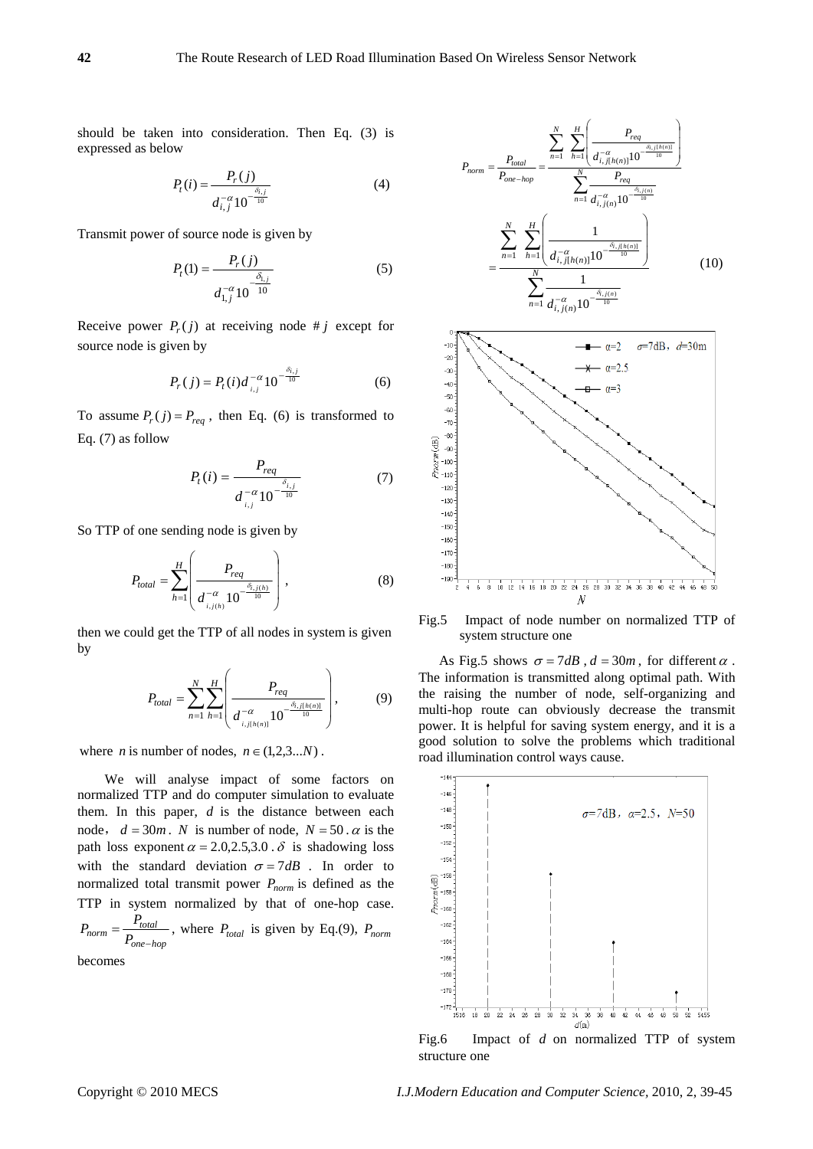should be taken into consideration. Then Eq. (3) is expressed as below

$$
P_t(i) = \frac{P_r(j)}{d_{i,j}^{-\alpha} 10^{-\frac{\delta_{i,j}}{10}}}
$$
 (4)

Transmit power of source node is given by

$$
P_t(1) = \frac{P_r(j)}{d_{1,j}^{-\alpha} 10^{-10}}
$$
 (5)

Receive power  $P_r(j)$  at receiving node # *j* except for source node is given by

$$
P_r(j) = P_t(i)d_{i,j}^{-\alpha}10^{-\frac{\delta_{i,j}}{10}}
$$
 (6)

To assume  $P_r(j) = P_{req}$ , then Eq. (6) is transformed to Eq. (7) as follow

$$
P_t(i) = \frac{P_{req}}{d_{i,j}^{-\alpha} 10^{-\frac{\delta_{i,j}}{10}}}
$$
(7)

So TTP of one sending node is given by

$$
P_{total} = \sum_{h=1}^{H} \left( \frac{P_{req}}{d_{i,j(h)}^{-\alpha} 10^{-\frac{\delta_{i,j(h)}}{10}}} \right),
$$
 (8)

then we could get the TTP of all nodes in system is given by

$$
P_{total} = \sum_{n=1}^{N} \sum_{h=1}^{H} \left( \frac{P_{req}}{d_{i,j[h(n)]}^{-\alpha} 10^{-\frac{\delta_{i,j[h(n)]}}{10}}} \right),
$$
 (9)

where *n* is number of nodes,  $n \in (1,2,3...N)$ .

We will analyse impact of some factors on normalized TTP and do computer simulation to evaluate them. In this paper, *d* is the distance between each node,  $d = 30m$ . *N* is number of node,  $N = 50$ .  $\alpha$  is the path loss exponent  $\alpha = 2.0, 2.5, 3.0$ .  $\delta$  is shadowing loss with the standard deviation  $\sigma = 7dB$ . In order to normalized total transmit power  $P_{norm}$  is defined as the TTP in system normalized by that of one-hop case.  $P_{norm} = \frac{P_{total}}{P_{one-hop}}$  $=\frac{I_{total}}{P_{one-hop}}$ , where  $P_{total}$  is given by Eq.(9),  $P_{norm}$ 

becomes





Fig.5 Impact of node number on normalized TTP of system structure one

As Fig.5 shows  $\sigma = 7dB$ ,  $d = 30m$ , for different  $\alpha$ . The information is transmitted along optimal path. With the raising the number of node, self-organizing and multi-hop route can obviously decrease the transmit power. It is helpful for saving system energy, and it is a good solution to solve the problems which traditional road illumination control ways cause.



structure one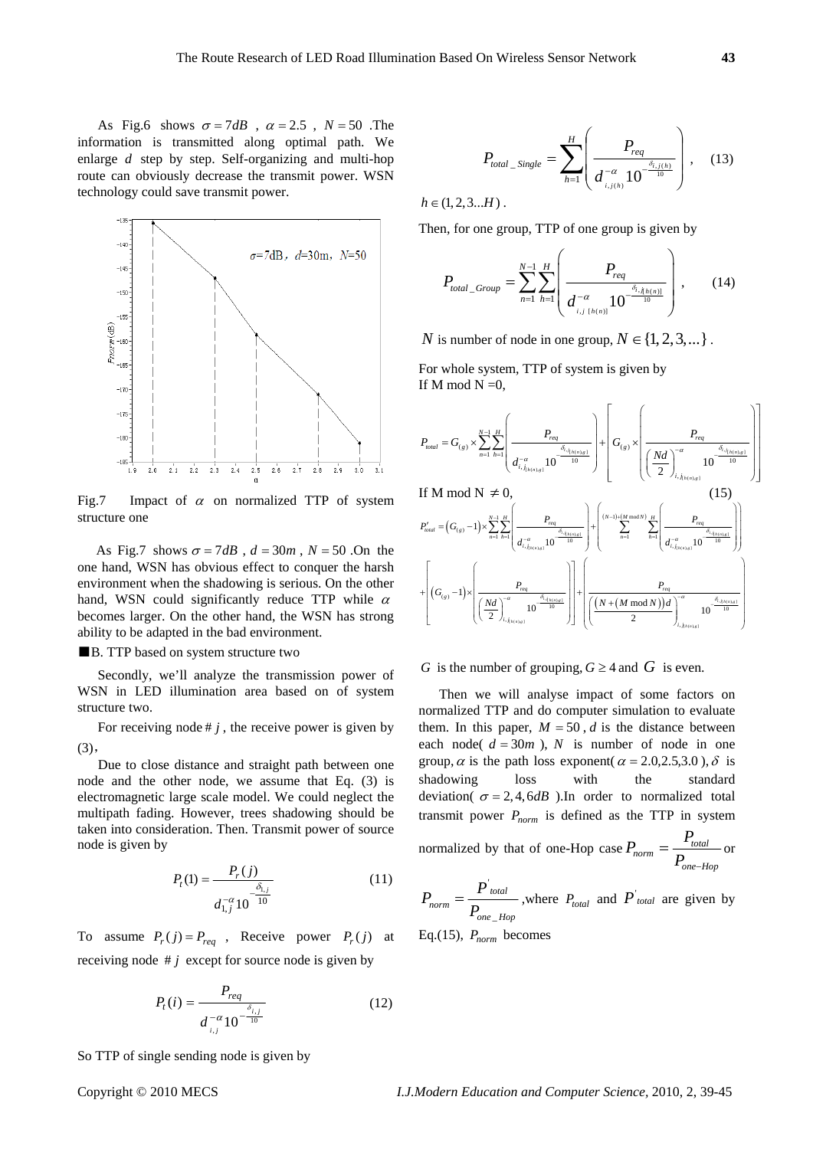As Fig.6 shows  $\sigma = 7dB$ ,  $\alpha = 2.5$ ,  $N = 50$ . The information is transmitted along optimal path. We enlarge *d* step by step. Self-organizing and multi-hop route can obviously decrease the transmit power. WSN technology could save transmit power.



Fig.7 Impact of  $\alpha$  on normalized TTP of system structure one

As Fig.7 shows  $\sigma = 7dB$ ,  $d = 30m$ ,  $N = 50$ . On the one hand, WSN has obvious effect to conquer the harsh environment when the shadowing is serious. On the other hand, WSN could significantly reduce TTP while  $\alpha$ becomes larger. On the other hand, the WSN has strong ability to be adapted in the bad environment.

## ■B. TTP based on system structure two

Secondly, we'll analyze the transmission power of WSN in LED illumination area based on of system structure two.

For receiving node  $\# j$ , the receive power is given by (3),

 Due to close distance and straight path between one node and the other node, we assume that Eq. (3) is electromagnetic large scale model. We could neglect the multipath fading. However, trees shadowing should be taken into consideration. Then. Transmit power of source node is given by

$$
P_t(1) = \frac{P_r(j)}{d_{1,j}^{-\alpha} 10^{-\frac{\delta_{1,j}}{10}}}
$$
\n(11)

To assume  $P_r(j) = P_{req}$ , Receive power  $P_r(j)$  at receiving node  $\# j$  except for source node is given by

$$
P_t(i) = \frac{P_{req}}{d_{i,j}^{-\alpha} 10^{-\frac{\delta_{i,j}}{10}}}
$$
(12)

So TTP of single sending node is given by

$$
f_{\rm{max}}
$$

 $P_{total\_Single} = \sum_{h=1}^{\infty} \left( \frac{P_{req}}{d \frac{a}{1} \left( 10^{-\frac{\delta_{i,j(h)}}{10}} \right)} \right)$ ⎟ ⎟ ⎠  $\setminus$  $\Big\}$  $\mathsf I$ ⎝  $\sqrt{2}$ = *H h req total*  $\frac{1}{h}$  *Single*  $\frac{1}{h}$   $\left\{ \frac{d}{d} \int_{i,j(h)}^{a} 10^{-\frac{\delta_{i,j(l)}}{10}}$ *P P* 1  $\mathcal{L} = \frac{\text{Single}}{d}$   $\mathcal{L} = \frac{\delta_{i,j(h)}}{10}$  $\frac{1}{\alpha}$   $10^{-\frac{\delta}{\alpha}}$  $(13)$  $h \in (1, 2, 3...H)$ .

Then, for one group, TTP of one group is given by

$$
P_{total\_Group} = \sum_{n=1}^{N-1} \sum_{h=1}^{H} \left( \frac{P_{req}}{d_{i,j_{[h(n)]}}^{-\alpha} 10^{-\frac{\delta_{i,j_{[h(n)]}}}{10}}} \right), \qquad (14)
$$

*N* is number of node in one group,  $N \in \{1, 2, 3, ...\}$ .

For whole system, TTP of system is given by If M mod  $N = 0$ ,

$$
P_{total} = G_{(g)} \times \sum_{n=1}^{N-1} \sum_{h=1}^{H} \left( \frac{P_{req}}{d_{i, j_{h(n),g}}} \right) + \left( G_{(g)} \times \left( \frac{P_{req}}{\left( \frac{Nd}{2} \right)_{i, j_{h(n),g}}} \right)
$$
\nIf M mod N  $\neq 0$ ,\n
$$
P'_{total} = (G_{(g)} - 1) \times \sum_{n=1}^{N-1} \sum_{h=1}^{H} \left( \frac{P_{req}}{d_{i, j_{h(n),g}}} \right) + \left( \sum_{n=1}^{N-1} \sum_{h=1}^{H} \left( \frac{P_{req}}{d_{i, j_{h(n),g}}} \right) \right)
$$
\n
$$
+ \left( (G_{(g)} - 1) \times \left( \frac{P_{req}}{\left( \frac{Nd}{2} \right)_{i, j_{h(n),g}}} \right) \right) + \left( \sum_{n=1}^{N-1} \sum_{h=1}^{H} \left( \frac{P_{req}}{d_{i, j_{h(n),g}}} \right) \right)
$$
\n
$$
+ \left( (G_{(g)} - 1) \times \left( \frac{P_{req}}{\left( \frac{Nd}{2} \right)_{i, j_{h(n),g}}} \right) \right) - \sum_{n=1}^{N-1} \sum_{h=1}^{H} \left( \frac{P_{req}}{\left( \frac{(N + (M \mod N))d}{2} \right)_{i, j_{h(n),g}}} \right) - \sum_{n=1}^{N-1} \sum_{h=1}^{M} \left( \frac{P_{req}}{\left( \frac{(N + (M \mod N))d}{2} \right)_{i, j_{h(n),g}}} \right) - \sum_{n=1}^{N-1} \sum_{h=1}^{M} \left( \frac{P_{req}}{\left( \frac{(N + (M \mod N))d}{2} \right)_{i, j_{h(n),g}}} \right)
$$

## *G* is the number of grouping,  $G \geq 4$  and *G* is even.

Then we will analyse impact of some factors on normalized TTP and do computer simulation to evaluate them. In this paper,  $M = 50$ , *d* is the distance between each node( $d = 30m$ ), *N* is number of node in one group,  $\alpha$  is the path loss exponent( $\alpha = 2.0, 2.5, 3.0$ ),  $\delta$  is shadowing loss with the standard deviation( $\sigma = 2, 4, 6$ *dB*). In order to normalized total transmit power  $P_{norm}$  is defined as the TTP in system normalized by that of one-Hop case *one Hop*  $P_{norm} = \frac{I_{total}}{P_{one-H}}$  $P_{norm} = \frac{P_{p}}{P_{p}}$ −  $=\frac{I_{total}}{I_{total}}$  or

$$
P_{norm} = \frac{P_{total}}{P_{one\_Hop}}
$$
, where  $P_{total}$  and  $P_{total}$  are given by  
Eq.(15),  $P_{norm}$  becomes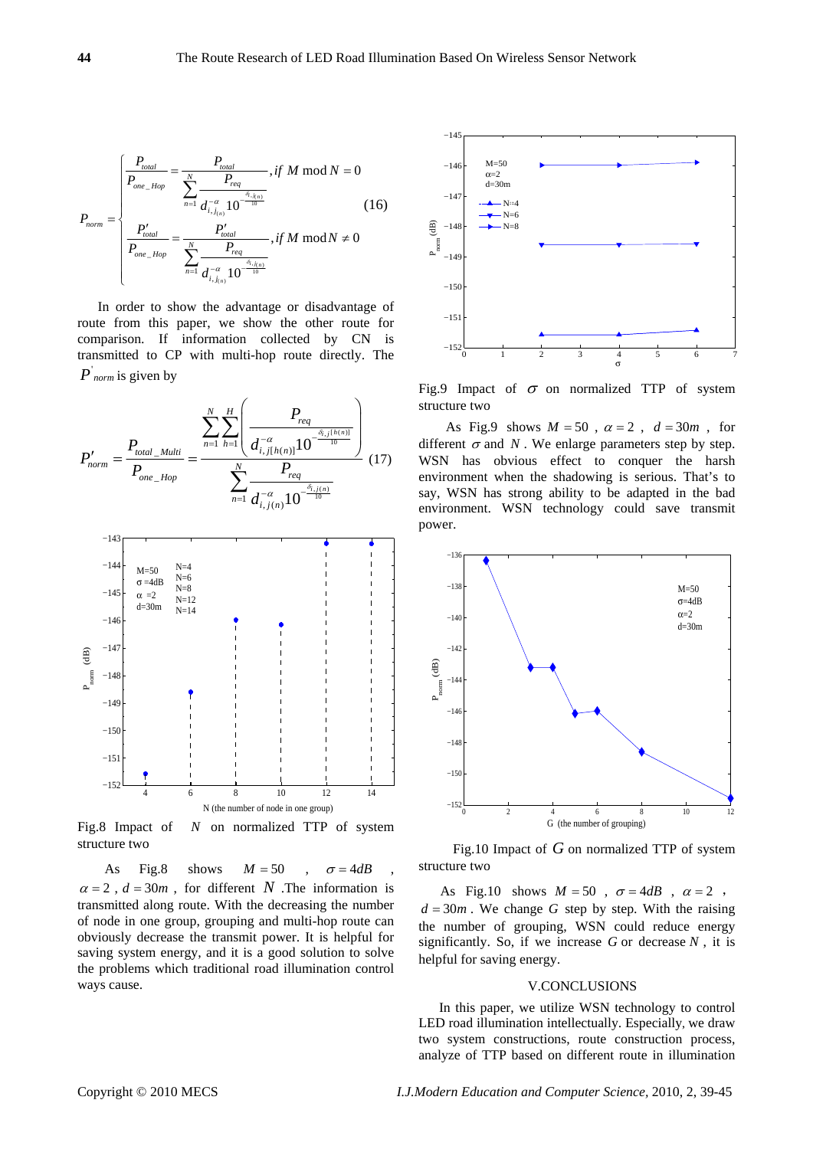$$
P_{norm} = \begin{cases} \frac{P_{total}}{P_{one\_Hop}} = \frac{P_{total}}{\sum_{n=1}^{N} \frac{P_{req}}{d_{i,j_{(n)}}^{-\alpha} \cdot 10^{-\frac{\delta_{i,j_{(n)}}}{10}}}}, \text{if } M \mod N = 0\\ \frac{P_{total}'}{P_{one\_Hop}} = \frac{P_{total}'}{\sum_{n=1}^{N} \frac{P_{req}}{d_{i,j_{(n)}}^{-\alpha} \cdot 10^{-\frac{\delta_{i,j_{(n)}}}{10}}}}, \text{if } M \mod N \neq 0 \end{cases} \tag{16}
$$

In order to show the advantage or disadvantage of route from this paper, we show the other route for comparison. If information collected by CN is transmitted to CP with multi-hop route directly. The *P norm* is given by

$$
P'_{norm} = \frac{P_{total\_Multi}}{P_{one\_Hop}} = \frac{\sum_{n=1}^{N} \sum_{h=1}^{H} \left( \frac{P_{req}}{d_{i,j[h(n)]}^{-\alpha} 10^{-\frac{\delta_{i,j[h(n)]}}{10}} \right)}{\sum_{n=1}^{N} \frac{P_{req}}{d_{i,j(n)}^{-\alpha} 10^{-\frac{\delta_{i,j(n)}}{10}}}} (17)
$$



Fig.8 Impact of *N* on normalized TTP of system structure two

As Fig.8 shows  $M = 50$  ,  $\sigma = 4dB$  $\alpha = 2$ ,  $d = 30m$ , for different *N* .The information is transmitted along route. With the decreasing the number of node in one group, grouping and multi-hop route can obviously decrease the transmit power. It is helpful for saving system energy, and it is a good solution to solve the problems which traditional road illumination control ways cause.



Fig.9 Impact of  $\sigma$  on normalized TTP of system structure two

As Fig.9 shows  $M = 50$ ,  $\alpha = 2$ ,  $d = 30m$ , for different  $\sigma$  and *N*. We enlarge parameters step by step. WSN has obvious effect to conquer the harsh environment when the shadowing is serious. That's to say, WSN has strong ability to be adapted in the bad environment. WSN technology could save transmit power.



 Fig.10 Impact of *G* on normalized TTP of system structure two

As Fig.10 shows  $M = 50$ ,  $\sigma = 4dB$ ,  $\alpha = 2$ ,  $d = 30m$ . We change *G* step by step. With the raising the number of grouping, WSN could reduce energy significantly. So, if we increase *G* or decrease *N* , it is helpful for saving energy.

#### V.CONCLUSIONS

In this paper, we utilize WSN technology to control LED road illumination intellectually. Especially, we draw two system constructions, route construction process, analyze of TTP based on different route in illumination